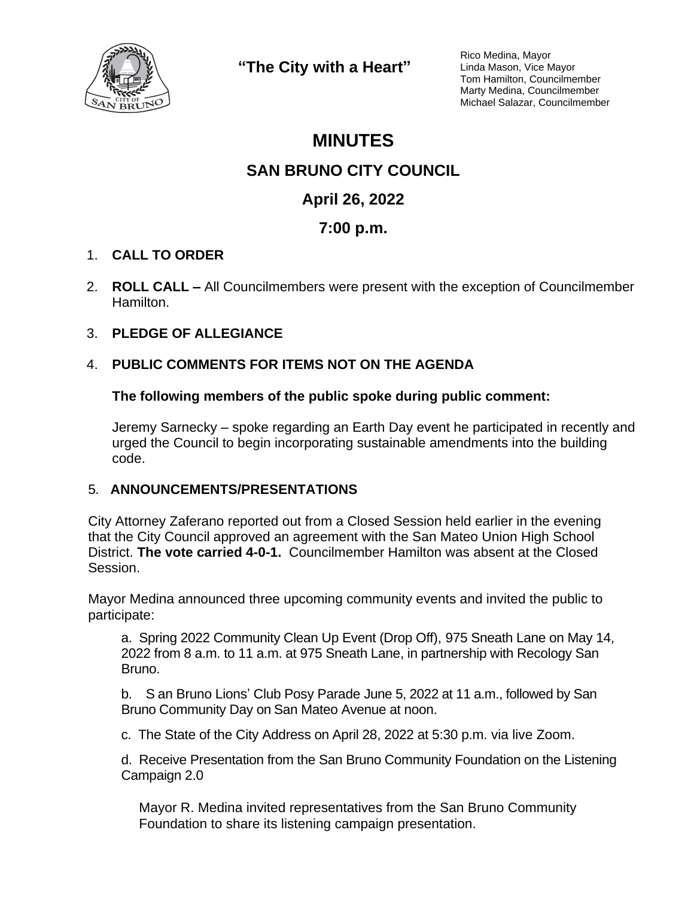

**"The City with a Heart"**

Rico Medina, Mayor Linda Mason, Vice Mayor Tom Hamilton, Councilmember Marty Medina, Councilmember Michael Salazar, Councilmember

# **MINUTES**

## **SAN BRUNO CITY COUNCIL**

# **April 26, 2022**

# **7:00 p.m.**

### 1. **CALL TO ORDER**

2. **ROLL CALL –** All Councilmembers were present with the exception of Councilmember Hamilton.

### 3. **PLEDGE OF ALLEGIANCE**

### 4. **PUBLIC COMMENTS FOR ITEMS NOT ON THE AGENDA**

#### **The following members of the public spoke during public comment:**

Jeremy Sarnecky – spoke regarding an Earth Day event he participated in recently and urged the Council to begin incorporating sustainable amendments into the building code.

#### 5. **ANNOUNCEMENTS/PRESENTATIONS**

City Attorney Zaferano reported out from a Closed Session held earlier in the evening that the City Council approved an agreement with the San Mateo Union High School District. **The vote carried 4-0-1.** Councilmember Hamilton was absent at the Closed Session.

Mayor Medina announced three upcoming community events and invited the public to participate:

a. Spring 2022 Community Clean Up Event (Drop Off), 975 Sneath Lane on May 14, 2022 from 8 a.m. to 11 a.m. at 975 Sneath Lane, in partnership with Recology San Bruno.

b. S an Bruno Lions' Club Posy Parade June 5, 2022 at 11 a.m., followed by San Bruno Community Day on San Mateo Avenue at noon.

c. The State of the City Address on April 28, 2022 at 5:30 p.m. via live Zoom.

d. Receive Presentation from the San Bruno Community Foundation on the Listening Campaign 2.0

Mayor R. Medina invited representatives from the San Bruno Community Foundation to share its listening campaign presentation.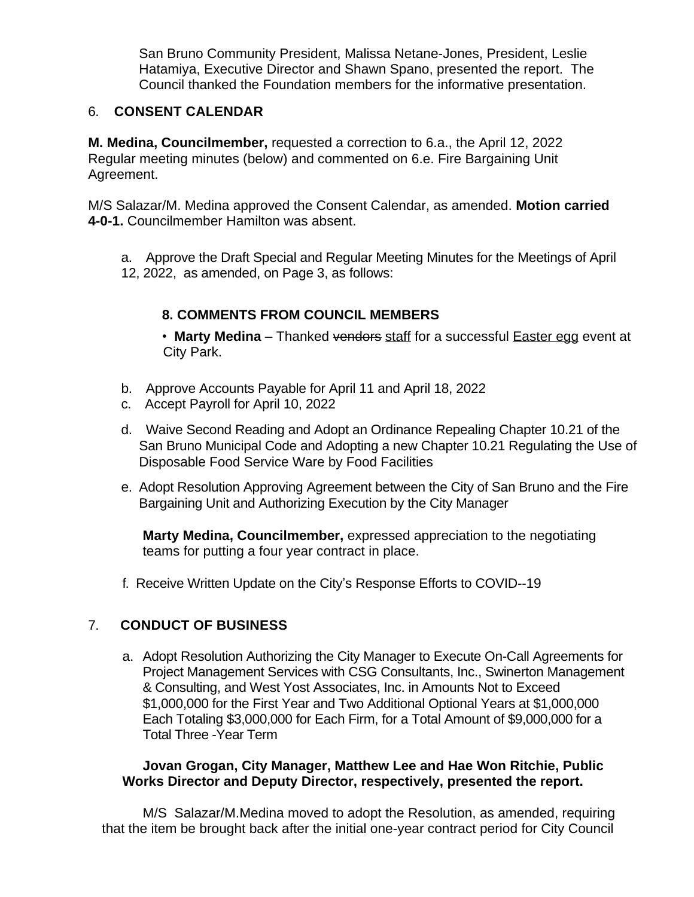San Bruno Community President, Malissa Netane-Jones, President, Leslie Hatamiya, Executive Director and Shawn Spano, presented the report. The Council thanked the Foundation members for the informative presentation.

#### 6. **CONSENT CALENDAR**

**M. Medina, Councilmember,** requested a correction to 6.a., the April 12, 2022 Regular meeting minutes (below) and commented on 6.e. Fire Bargaining Unit Agreement.

M/S Salazar/M. Medina approved the Consent Calendar, as amended. **Motion carried 4-0-1.** Councilmember Hamilton was absent.

a. Approve the Draft Special and Regular Meeting Minutes for the Meetings of April 12, 2022, as amended, on Page 3, as follows:

## **8. COMMENTS FROM COUNCIL MEMBERS**

• Marty Medina – Thanked vendors staff for a successful **Easter egg event at** City Park.

- b. Approve Accounts Payable for April 11 and April 18, 2022
- c. Accept Payroll for April 10, 2022
- d. Waive Second Reading and Adopt an Ordinance Repealing Chapter 10.21 of the San Bruno Municipal Code and Adopting a new Chapter 10.21 Regulating the Use of Disposable Food Service Ware by Food Facilities
- e. Adopt Resolution Approving Agreement between the City of San Bruno and the Fire Bargaining Unit and Authorizing Execution by the City Manager

**Marty Medina, Councilmember,** expressed appreciation to the negotiating teams for putting a four year contract in place.

f. Receive Written Update on the City's Response Efforts to COVID--19

### 7. **CONDUCT OF BUSINESS**

a. Adopt Resolution Authorizing the City Manager to Execute On-Call Agreements for Project Management Services with CSG Consultants, Inc., Swinerton Management & Consulting, and West Yost Associates, Inc. in Amounts Not to Exceed \$1,000,000 for the First Year and Two Additional Optional Years at \$1,000,000 Each Totaling \$3,000,000 for Each Firm, for a Total Amount of \$9,000,000 for a Total Three -Year Term

#### **Jovan Grogan, City Manager, Matthew Lee and Hae Won Ritchie, Public Works Director and Deputy Director, respectively, presented the report.**

M/S Salazar/M.Medina moved to adopt the Resolution, as amended, requiring that the item be brought back after the initial one-year contract period for City Council